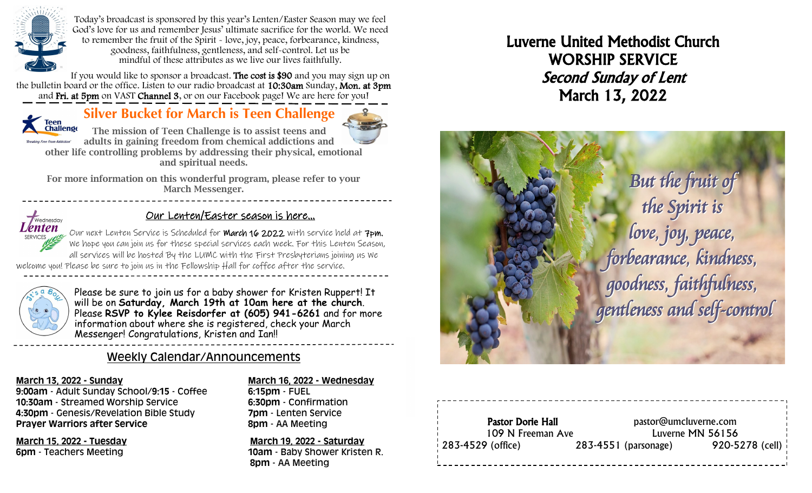

Today's broadcast is sponsored by this year's Lenten/Easter Season may we feel God's love for us and remember Jesus' ultimate sacrifice for the world. We need to remember the fruit of the Spirit - love, joy, peace, forbearance, kindness, goodness, faithfulness, gentleness, and self-control. Let us be mindful of these attributes as we live our lives faithfully.

If you would like to sponsor a broadcast. The cost is \$90 and you may sign up on the bulletin board or the office. Listen to our radio broadcast at 10:30am Sunday, Mon. at 3pm and Fri. at 5pm on VAST Channel 3, or on our Facebook page! We are here for you!

# Teen<br>Challenge

**Silver Bucket for March is Teen Challenge**



The mission of Teen Challenge is to assist teens and adults in gaining freedom from chemical addictions and other life controlling problems by addressing their physical, emotional and spiritual needs.

For more information on this wonderful program, please refer to your March Messenger.



## Our Lenten/Easter season is here...

Our next Lenten Service is Scheduled for **March 16 2022** with service held at  $7$ pm. We hope you can join us for these special services each week. For this Lenten Season, all services will be hosted By the LUMC with the First Presbyterians joining us We

welcome you! Please be sure to join us in the Fellowship Hall for coffee after the service.



Please be sure to join us for a baby shower for Kristen Ruppert! It will be on **Saturday, March 19th at 10am here at the church**. Please **RSVP to Kylee Reisdorfer at (605) 941-6261** and for more information about where she is registered, check your March Messenger! Congratulations, Kristen and Ian!!

## Weekly Calendar/Announcements

**9:00am** - Adult Sunday School/**9:15** - Coffee **6:15pm** - FUEL **10:30am** - Streamed Worship Service **6:30pm** - Confirmation **4:30pm** - Genesis/Revelation Bible Study **7pm** - Lenten Service **Prayer Warriors after Service 8pm - AA Meeting** 

#### **March 13, 2022 - Sunday March 16, 2022 - Wednesday**

**March 15, 2022 - Tuesday March 19, 2022 - Saturday 6pm** - Teachers Meeting **10am** - Baby Shower Kristen R.  **8pm** - AA Meeting

# Luverne United Methodist Church WORSHIP SERVICE Second Sunday of Lent March 13, 2022



#### Pastor Dorie Hall pastor@umcluverne.com 109 N Freeman Ave Luverne MN 56156 283-4529 (office) 283-4551 (parsonage) 920-5278 (cell)